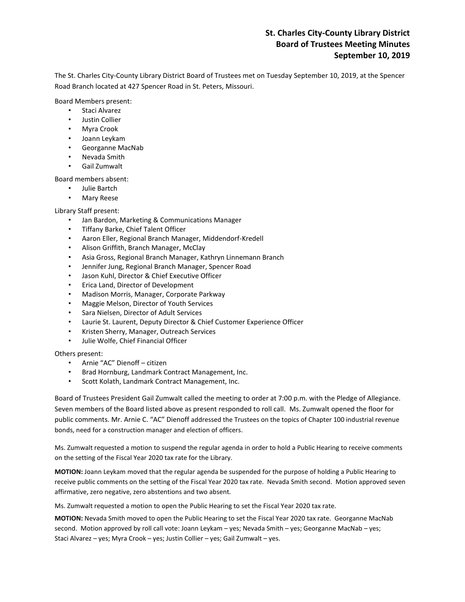# **St. Charles City-County Library District Board of Trustees Meeting Minutes September 10, 2019**

The St. Charles City-County Library District Board of Trustees met on Tuesday September 10, 2019, at the Spencer Road Branch located at 427 Spencer Road in St. Peters, Missouri.

Board Members present:

- Staci Alvarez
- Justin Collier
- Myra Crook
- Joann Leykam
- Georganne MacNab
- Nevada Smith
- Gail Zumwalt

Board members absent:

- Julie Bartch
- Mary Reese

Library Staff present:

- Jan Bardon, Marketing & Communications Manager
- Tiffany Barke, Chief Talent Officer
- Aaron Eller, Regional Branch Manager, Middendorf-Kredell
- Alison Griffith, Branch Manager, McClay
- Asia Gross, Regional Branch Manager, Kathryn Linnemann Branch
- Jennifer Jung, Regional Branch Manager, Spencer Road
- Jason Kuhl, Director & Chief Executive Officer
- Erica Land, Director of Development
- Madison Morris, Manager, Corporate Parkway
- Maggie Melson, Director of Youth Services
- Sara Nielsen, Director of Adult Services
- Laurie St. Laurent, Deputy Director & Chief Customer Experience Officer
- Kristen Sherry, Manager, Outreach Services
- Julie Wolfe, Chief Financial Officer

Others present:

- Arnie "AC" Dienoff citizen
- Brad Hornburg, Landmark Contract Management, Inc.
- Scott Kolath, Landmark Contract Management, Inc.

Board of Trustees President Gail Zumwalt called the meeting to order at 7:00 p.m. with the Pledge of Allegiance. Seven members of the Board listed above as present responded to roll call. Ms. Zumwalt opened the floor for public comments. Mr. Arnie C. "AC" Dienoff addressed the Trustees on the topics of Chapter 100 industrial revenue bonds, need for a construction manager and election of officers.

Ms. Zumwalt requested a motion to suspend the regular agenda in order to hold a Public Hearing to receive comments on the setting of the Fiscal Year 2020 tax rate for the Library.

**MOTION:** Joann Leykam moved that the regular agenda be suspended for the purpose of holding a Public Hearing to receive public comments on the setting of the Fiscal Year 2020 tax rate. Nevada Smith second. Motion approved seven affirmative, zero negative, zero abstentions and two absent.

Ms. Zumwalt requested a motion to open the Public Hearing to set the Fiscal Year 2020 tax rate.

**MOTION:** Nevada Smith moved to open the Public Hearing to set the Fiscal Year 2020 tax rate. Georganne MacNab second. Motion approved by roll call vote: Joann Leykam – yes; Nevada Smith – yes; Georganne MacNab – yes; Staci Alvarez – yes; Myra Crook – yes; Justin Collier – yes; Gail Zumwalt – yes.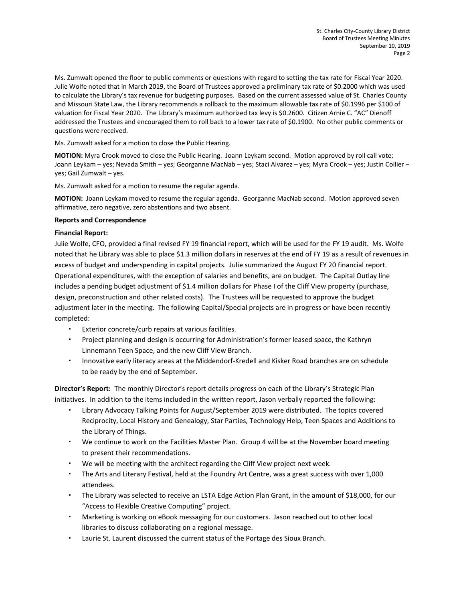Ms. Zumwalt opened the floor to public comments or questions with regard to setting the tax rate for Fiscal Year 2020. Julie Wolfe noted that in March 2019, the Board of Trustees approved a preliminary tax rate of \$0.2000 which was used to calculate the Library's tax revenue for budgeting purposes. Based on the current assessed value of St. Charles County and Missouri State Law, the Library recommends a rollback to the maximum allowable tax rate of \$0.1996 per \$100 of valuation for Fiscal Year 2020. The Library's maximum authorized tax levy is \$0.2600. Citizen Arnie C. "AC" Dienoff addressed the Trustees and encouraged them to roll back to a lower tax rate of \$0.1900. No other public comments or questions were received.

Ms. Zumwalt asked for a motion to close the Public Hearing.

**MOTION:** Myra Crook moved to close the Public Hearing. Joann Leykam second. Motion approved by roll call vote: Joann Leykam – yes; Nevada Smith – yes; Georganne MacNab – yes; Staci Alvarez – yes; Myra Crook – yes; Justin Collier – yes; Gail Zumwalt – yes.

Ms. Zumwalt asked for a motion to resume the regular agenda.

**MOTION:** Joann Leykam moved to resume the regular agenda. Georganne MacNab second. Motion approved seven affirmative, zero negative, zero abstentions and two absent.

### **Reports and Correspondence**

### **Financial Report:**

Julie Wolfe, CFO, provided a final revised FY 19 financial report, which will be used for the FY 19 audit. Ms. Wolfe noted that he Library was able to place \$1.3 million dollars in reserves at the end of FY 19 as a result of revenues in excess of budget and underspending in capital projects. Julie summarized the August FY 20 financial report. Operational expenditures, with the exception of salaries and benefits, are on budget. The Capital Outlay line includes a pending budget adjustment of \$1.4 million dollars for Phase I of the Cliff View property (purchase, design, preconstruction and other related costs). The Trustees will be requested to approve the budget adjustment later in the meeting. The following Capital/Special projects are in progress or have been recently completed:

- Exterior concrete/curb repairs at various facilities.
- Project planning and design is occurring for Administration's former leased space, the Kathryn Linnemann Teen Space, and the new Cliff View Branch.
- Innovative early literacy areas at the Middendorf-Kredell and Kisker Road branches are on schedule to be ready by the end of September.

**Director's Report:** The monthly Director's report details progress on each of the Library's Strategic Plan initiatives. In addition to the items included in the written report, Jason verbally reported the following:

- Library Advocacy Talking Points for August/September 2019 were distributed. The topics covered Reciprocity, Local History and Genealogy, Star Parties, Technology Help, Teen Spaces and Additions to the Library of Things.
- We continue to work on the Facilities Master Plan. Group 4 will be at the November board meeting to present their recommendations.
- We will be meeting with the architect regarding the Cliff View project next week.
- The Arts and Literary Festival, held at the Foundry Art Centre, was a great success with over 1,000 attendees.
- The Library was selected to receive an LSTA Edge Action Plan Grant, in the amount of \$18,000, for our "Access to Flexible Creative Computing" project.
- Marketing is working on eBook messaging for our customers. Jason reached out to other local libraries to discuss collaborating on a regional message.
- Laurie St. Laurent discussed the current status of the Portage des Sioux Branch.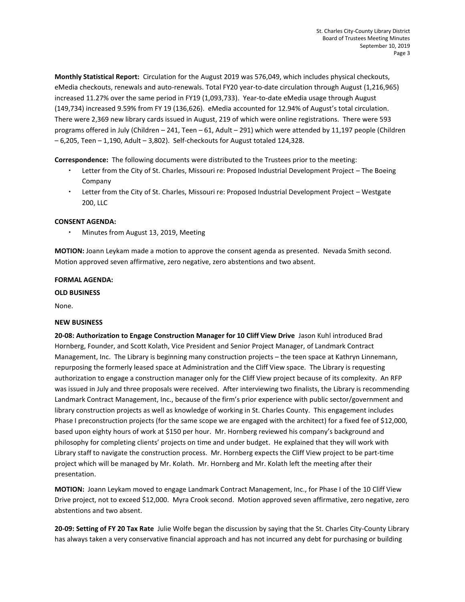**Monthly Statistical Report:** Circulation for the August 2019 was 576,049, which includes physical checkouts, eMedia checkouts, renewals and auto-renewals. Total FY20 year-to-date circulation through August (1,216,965) increased 11.27% over the same period in FY19 (1,093,733). Year-to-date eMedia usage through August (149,734) increased 9.59% from FY 19 (136,626). eMedia accounted for 12.94% of August's total circulation. There were 2,369 new library cards issued in August, 219 of which were online registrations. There were 593 programs offered in July (Children – 241, Teen – 61, Adult – 291) which were attended by 11,197 people (Children – 6,205, Teen – 1,190, Adult – 3,802). Self-checkouts for August totaled 124,328.

**Correspondence:** The following documents were distributed to the Trustees prior to the meeting:

- Letter from the City of St. Charles, Missouri re: Proposed Industrial Development Project The Boeing Company
- Letter from the City of St. Charles, Missouri re: Proposed Industrial Development Project Westgate 200, LLC

# **CONSENT AGENDA:**

Minutes from August 13, 2019, Meeting

**MOTION:** Joann Leykam made a motion to approve the consent agenda as presented. Nevada Smith second. Motion approved seven affirmative, zero negative, zero abstentions and two absent.

# **FORMAL AGENDA:**

# **OLD BUSINESS**

None.

# **NEW BUSINESS**

**20-08: Authorization to Engage Construction Manager for 10 Cliff View Drive** Jason Kuhl introduced Brad Hornberg, Founder, and Scott Kolath, Vice President and Senior Project Manager, of Landmark Contract Management, Inc. The Library is beginning many construction projects – the teen space at Kathryn Linnemann, repurposing the formerly leased space at Administration and the Cliff View space. The Library is requesting authorization to engage a construction manager only for the Cliff View project because of its complexity. An RFP was issued in July and three proposals were received. After interviewing two finalists, the Library is recommending Landmark Contract Management, Inc., because of the firm's prior experience with public sector/government and library construction projects as well as knowledge of working in St. Charles County. This engagement includes Phase I preconstruction projects (for the same scope we are engaged with the architect) for a fixed fee of \$12,000, based upon eighty hours of work at \$150 per hour. Mr. Hornberg reviewed his company's background and philosophy for completing clients' projects on time and under budget. He explained that they will work with Library staff to navigate the construction process. Mr. Hornberg expects the Cliff View project to be part-time project which will be managed by Mr. Kolath. Mr. Hornberg and Mr. Kolath left the meeting after their presentation.

**MOTION:** Joann Leykam moved to engage Landmark Contract Management, Inc., for Phase I of the 10 Cliff View Drive project, not to exceed \$12,000. Myra Crook second. Motion approved seven affirmative, zero negative, zero abstentions and two absent.

**20-09: Setting of FY 20 Tax Rate** Julie Wolfe began the discussion by saying that the St. Charles City-County Library has always taken a very conservative financial approach and has not incurred any debt for purchasing or building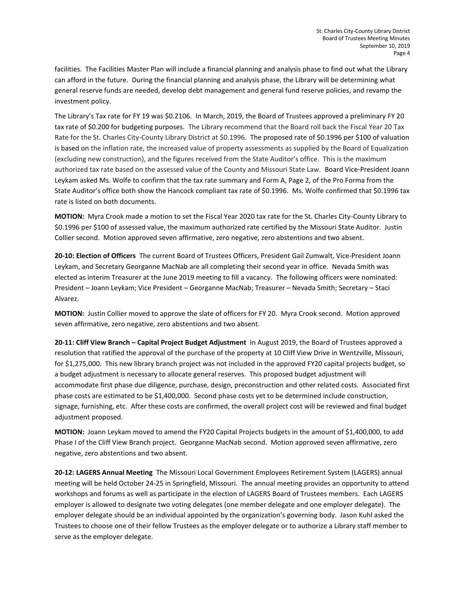facilities. The Facilities Master Plan will include a financial planning and analysis phase to find out what the Library can afford in the future. During the financial planning and analysis phase, the Library will be determining what general reserve funds are needed, develop debt management and general fund reserve policies, and revamp the investment policy.

The Library's Tax rate for FY 19 was \$0.2106. In March, 2019, the Board of Trustees approved a preliminary FY 20 tax rate of \$0.200 for budgeting purposes. The Library recommend that the Board roll back the Fiscal Year 20 Tax Rate for the St. Charles City-County Library District at \$0.1996. The proposed rate of \$0.1996 per \$100 of valuation is based on the inflation rate, the increased value of property assessments as supplied by the Board of Equalization (excluding new construction), and the figures received from the State Auditor's office. This is the maximum authorized tax rate based on the assessed value of the County and Missouri State Law. Board Vice-President Joann Leykam asked Ms. Wolfe to confirm that the tax rate summary and Form A, Page 2, of the Pro Forma from the State Auditor's office both show the Hancock compliant tax rate of \$0.1996. Ms. Wolfe confirmed that \$0.1996 tax rate is listed on both documents.

**MOTION:** Myra Crook made a motion to set the Fiscal Year 2020 tax rate for the St. Charles City-County Library to \$0.1996 per \$100 of assessed value, the maximum authorized rate certified by the Missouri State Auditor. Justin Collier second. Motion approved seven affirmative, zero negative, zero abstentions and two absent.

**20-10: Election of Officers** The current Board of Trustees Officers, President Gail Zumwalt, Vice-President Joann Leykam, and Secretary Georganne MacNab are all completing their second year in office. Nevada Smith was elected as interim Treasurer at the June 2019 meeting to fill a vacancy. The following officers were nominated: President – Joann Leykam; Vice President – Georganne MacNab; Treasurer – Nevada Smith; Secretary – Staci Alvarez.

**MOTION:** Justin Collier moved to approve the slate of officers for FY 20. Myra Crook second. Motion approved seven affirmative, zero negative, zero abstentions and two absent.

**20-11: Cliff View Branch – Capital Project Budget Adjustment** In August 2019, the Board of Trustees approved a resolution that ratified the approval of the purchase of the property at 10 Cliff View Drive in Wentzville, Missouri, for \$1,275,000. This new library branch project was not included in the approved FY20 capital projects budget, so a budget adjustment is necessary to allocate general reserves. This proposed budget adjustment will accommodate first phase due diligence, purchase, design, preconstruction and other related costs. Associated first phase costs are estimated to be \$1,400,000. Second phase costs yet to be determined include construction, signage, furnishing, etc. After these costs are confirmed, the overall project cost will be reviewed and final budget adjustment proposed.

**MOTION:** Joann Leykam moved to amend the FY20 Capital Projects budgets in the amount of \$1,400,000, to add Phase I of the Cliff View Branch project. Georganne MacNab second. Motion approved seven affirmative, zero negative, zero abstentions and two absent.

**20-12: LAGERS Annual Meeting** The Missouri Local Government Employees Retirement System (LAGERS) annual meeting will be held October 24-25 in Springfield, Missouri. The annual meeting provides an opportunity to attend workshops and forums as well as participate in the election of LAGERS Board of Trustees members. Each LAGERS employer is allowed to designate two voting delegates (one member delegate and one employer delegate). The employer delegate should be an individual appointed by the organization's governing body. Jason Kuhl asked the Trustees to choose one of their fellow Trustees as the employer delegate or to authorize a Library staff member to serve as the employer delegate.